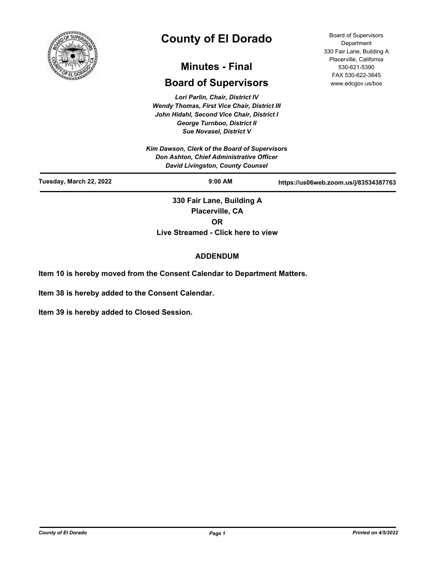

# **County of El Dorado**

## **Minutes - Final**

## **Board of Supervisors**

*Lori Parlin, Chair, District IV Wendy Thomas, First Vice Chair, District III John Hidahl, Second Vice Chair, District I George Turnboo, District II Sue Novasel, District V*

*Kim Dawson, Clerk of the Board of Supervisors Don Ashton, Chief Administrative Officer David Livingston, County Counsel*

Board of Supervisors **Department** 330 Fair Lane, Building A Placerville, California 530-621-5390 FAX 530-622-3645 www.edcgov.us/bos

| David Livingston, County Counsel |                                              |                                       |
|----------------------------------|----------------------------------------------|---------------------------------------|
| Tuesday, March 22, 2022          | $9:00$ AM                                    | https://us06web.zoom.us/j/83534387763 |
|                                  | 330 Fair Lane, Building A<br>Placerville, CA |                                       |

**OR**

**Live Streamed - Click here to view**

### **ADDENDUM**

**Item 10 is hereby moved from the Consent Calendar to Department Matters.**

**Item 38 is hereby added to the Consent Calendar.**

**Item 39 is hereby added to Closed Session.**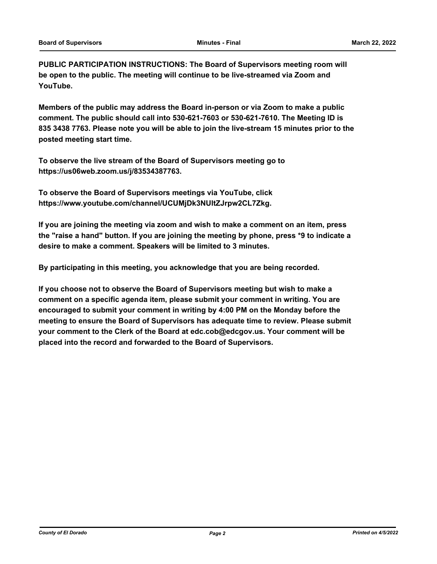**PUBLIC PARTICIPATION INSTRUCTIONS: The Board of Supervisors meeting room will be open to the public. The meeting will continue to be live-streamed via Zoom and YouTube.**

**Members of the public may address the Board in-person or via Zoom to make a public comment. The public should call into 530-621-7603 or 530-621-7610. The Meeting ID is 835 3438 7763. Please note you will be able to join the live-stream 15 minutes prior to the posted meeting start time.**

**To observe the live stream of the Board of Supervisors meeting go to https://us06web.zoom.us/j/83534387763.**

**To observe the Board of Supervisors meetings via YouTube, click https://www.youtube.com/channel/UCUMjDk3NUltZJrpw2CL7Zkg.**

**If you are joining the meeting via zoom and wish to make a comment on an item, press the "raise a hand" button. If you are joining the meeting by phone, press \*9 to indicate a desire to make a comment. Speakers will be limited to 3 minutes.**

**By participating in this meeting, you acknowledge that you are being recorded.**

**If you choose not to observe the Board of Supervisors meeting but wish to make a comment on a specific agenda item, please submit your comment in writing. You are encouraged to submit your comment in writing by 4:00 PM on the Monday before the meeting to ensure the Board of Supervisors has adequate time to review. Please submit your comment to the Clerk of the Board at edc.cob@edcgov.us. Your comment will be placed into the record and forwarded to the Board of Supervisors.**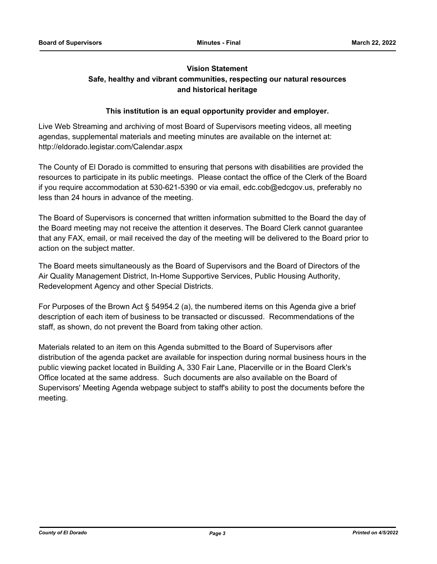#### **Vision Statement**

## **Safe, healthy and vibrant communities, respecting our natural resources and historical heritage**

#### **This institution is an equal opportunity provider and employer.**

Live Web Streaming and archiving of most Board of Supervisors meeting videos, all meeting agendas, supplemental materials and meeting minutes are available on the internet at: http://eldorado.legistar.com/Calendar.aspx

The County of El Dorado is committed to ensuring that persons with disabilities are provided the resources to participate in its public meetings. Please contact the office of the Clerk of the Board if you require accommodation at 530-621-5390 or via email, edc.cob@edcgov.us, preferably no less than 24 hours in advance of the meeting.

The Board of Supervisors is concerned that written information submitted to the Board the day of the Board meeting may not receive the attention it deserves. The Board Clerk cannot guarantee that any FAX, email, or mail received the day of the meeting will be delivered to the Board prior to action on the subject matter.

The Board meets simultaneously as the Board of Supervisors and the Board of Directors of the Air Quality Management District, In-Home Supportive Services, Public Housing Authority, Redevelopment Agency and other Special Districts.

For Purposes of the Brown Act § 54954.2 (a), the numbered items on this Agenda give a brief description of each item of business to be transacted or discussed. Recommendations of the staff, as shown, do not prevent the Board from taking other action.

Materials related to an item on this Agenda submitted to the Board of Supervisors after distribution of the agenda packet are available for inspection during normal business hours in the public viewing packet located in Building A, 330 Fair Lane, Placerville or in the Board Clerk's Office located at the same address. Such documents are also available on the Board of Supervisors' Meeting Agenda webpage subject to staff's ability to post the documents before the meeting.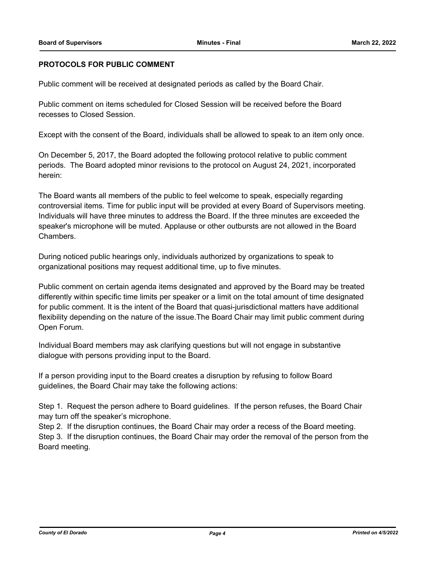#### **PROTOCOLS FOR PUBLIC COMMENT**

Public comment will be received at designated periods as called by the Board Chair.

Public comment on items scheduled for Closed Session will be received before the Board recesses to Closed Session.

Except with the consent of the Board, individuals shall be allowed to speak to an item only once.

On December 5, 2017, the Board adopted the following protocol relative to public comment periods. The Board adopted minor revisions to the protocol on August 24, 2021, incorporated herein:

The Board wants all members of the public to feel welcome to speak, especially regarding controversial items. Time for public input will be provided at every Board of Supervisors meeting. Individuals will have three minutes to address the Board. If the three minutes are exceeded the speaker's microphone will be muted. Applause or other outbursts are not allowed in the Board Chambers.

During noticed public hearings only, individuals authorized by organizations to speak to organizational positions may request additional time, up to five minutes.

Public comment on certain agenda items designated and approved by the Board may be treated differently within specific time limits per speaker or a limit on the total amount of time designated for public comment. It is the intent of the Board that quasi-jurisdictional matters have additional flexibility depending on the nature of the issue.The Board Chair may limit public comment during Open Forum.

Individual Board members may ask clarifying questions but will not engage in substantive dialogue with persons providing input to the Board.

If a person providing input to the Board creates a disruption by refusing to follow Board guidelines, the Board Chair may take the following actions:

Step 1. Request the person adhere to Board guidelines. If the person refuses, the Board Chair may turn off the speaker's microphone.

Step 2. If the disruption continues, the Board Chair may order a recess of the Board meeting. Step 3. If the disruption continues, the Board Chair may order the removal of the person from the Board meeting.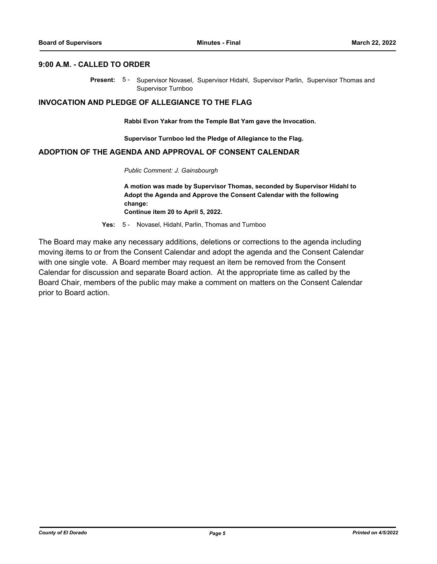#### **9:00 A.M. - CALLED TO ORDER**

Present: 5- Supervisor Novasel, Supervisor Hidahl, Supervisor Parlin, Supervisor Thomas and Supervisor Turnboo

#### **INVOCATION AND PLEDGE OF ALLEGIANCE TO THE FLAG**

**Rabbi Evon Yakar from the Temple Bat Yam gave the Invocation.**

**Supervisor Turnboo led the Pledge of Allegiance to the Flag.**

#### **ADOPTION OF THE AGENDA AND APPROVAL OF CONSENT CALENDAR**

*Public Comment: J. Gainsbourgh*

**A motion was made by Supervisor Thomas, seconded by Supervisor Hidahl to Adopt the Agenda and Approve the Consent Calendar with the following change:**

**Continue item 20 to April 5, 2022.**

**Yes:** 5 - Novasel, Hidahl, Parlin, Thomas and Turnboo

The Board may make any necessary additions, deletions or corrections to the agenda including moving items to or from the Consent Calendar and adopt the agenda and the Consent Calendar with one single vote. A Board member may request an item be removed from the Consent Calendar for discussion and separate Board action. At the appropriate time as called by the Board Chair, members of the public may make a comment on matters on the Consent Calendar prior to Board action.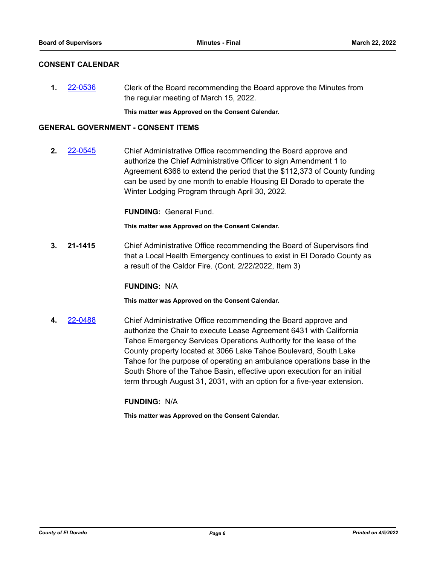#### **CONSENT CALENDAR**

**1.** [22-0536](http://eldorado.legistar.com/gateway.aspx?m=l&id=/matter.aspx?key=31437) Clerk of the Board recommending the Board approve the Minutes from the regular meeting of March 15, 2022.

**This matter was Approved on the Consent Calendar.**

#### **GENERAL GOVERNMENT - CONSENT ITEMS**

**2.** [22-0545](http://eldorado.legistar.com/gateway.aspx?m=l&id=/matter.aspx?key=31446) Chief Administrative Office recommending the Board approve and authorize the Chief Administrative Officer to sign Amendment 1 to Agreement 6366 to extend the period that the \$112,373 of County funding can be used by one month to enable Housing El Dorado to operate the Winter Lodging Program through April 30, 2022.

**FUNDING:** General Fund.

**This matter was Approved on the Consent Calendar.**

**3. 21-1415** Chief Administrative Office recommending the Board of Supervisors find that a Local Health Emergency continues to exist in El Dorado County as a result of the Caldor Fire. (Cont. 2/22/2022, Item 3)

#### **FUNDING:** N/A

**This matter was Approved on the Consent Calendar.**

**4.** [22-0488](http://eldorado.legistar.com/gateway.aspx?m=l&id=/matter.aspx?key=31389) Chief Administrative Office recommending the Board approve and authorize the Chair to execute Lease Agreement 6431 with California Tahoe Emergency Services Operations Authority for the lease of the County property located at 3066 Lake Tahoe Boulevard, South Lake Tahoe for the purpose of operating an ambulance operations base in the South Shore of the Tahoe Basin, effective upon execution for an initial term through August 31, 2031, with an option for a five-year extension.

#### **FUNDING:** N/A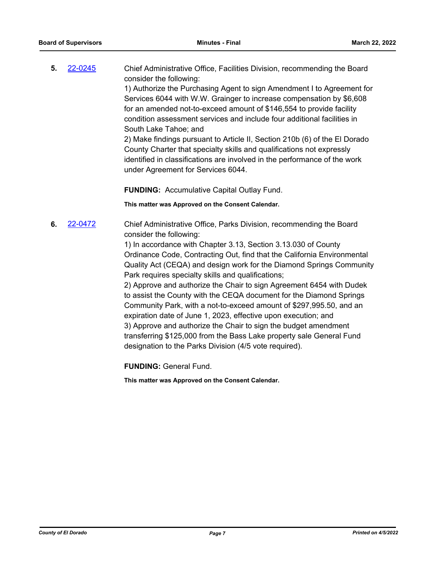**5.** [22-0245](http://eldorado.legistar.com/gateway.aspx?m=l&id=/matter.aspx?key=31146) Chief Administrative Office, Facilities Division, recommending the Board consider the following: 1) Authorize the Purchasing Agent to sign Amendment I to Agreement for Services 6044 with W.W. Grainger to increase compensation by \$6,608 for an amended not-to-exceed amount of \$146,554 to provide facility condition assessment services and include four additional facilities in South Lake Tahoe; and 2) Make findings pursuant to Article II, Section 210b (6) of the El Dorado County Charter that specialty skills and qualifications not expressly

**FUNDING:** Accumulative Capital Outlay Fund.

under Agreement for Services 6044.

**This matter was Approved on the Consent Calendar.**

**6.** [22-0472](http://eldorado.legistar.com/gateway.aspx?m=l&id=/matter.aspx?key=31373) Chief Administrative Office, Parks Division, recommending the Board consider the following:

> 1) In accordance with Chapter 3.13, Section 3.13.030 of County Ordinance Code, Contracting Out, find that the California Environmental Quality Act (CEQA) and design work for the Diamond Springs Community Park requires specialty skills and qualifications;

identified in classifications are involved in the performance of the work

2) Approve and authorize the Chair to sign Agreement 6454 with Dudek to assist the County with the CEQA document for the Diamond Springs Community Park, with a not-to-exceed amount of \$297,995.50, and an expiration date of June 1, 2023, effective upon execution; and 3) Approve and authorize the Chair to sign the budget amendment transferring \$125,000 from the Bass Lake property sale General Fund designation to the Parks Division (4/5 vote required).

**FUNDING:** General Fund.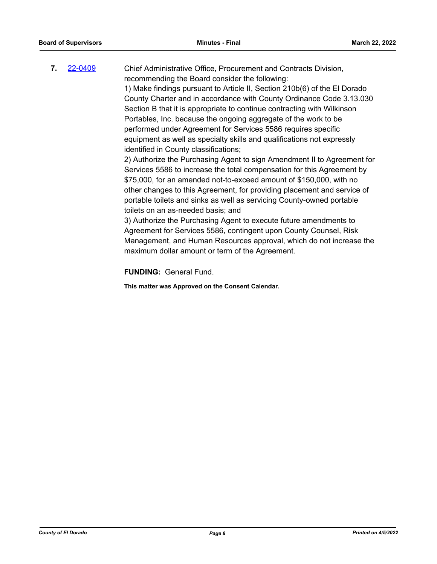**7.** [22-0409](http://eldorado.legistar.com/gateway.aspx?m=l&id=/matter.aspx?key=31310) Chief Administrative Office, Procurement and Contracts Division, recommending the Board consider the following: 1) Make findings pursuant to Article II, Section 210b(6) of the El Dorado County Charter and in accordance with County Ordinance Code 3.13.030 Section B that it is appropriate to continue contracting with Wilkinson Portables, Inc. because the ongoing aggregate of the work to be performed under Agreement for Services 5586 requires specific equipment as well as specialty skills and qualifications not expressly identified in County classifications; 2) Authorize the Purchasing Agent to sign Amendment II to Agreement for Services 5586 to increase the total compensation for this Agreement by \$75,000, for an amended not-to-exceed amount of \$150,000, with no other changes to this Agreement, for providing placement and service of

portable toilets and sinks as well as servicing County-owned portable toilets on an as-needed basis; and 3) Authorize the Purchasing Agent to execute future amendments to Agreement for Services 5586, contingent upon County Counsel, Risk Management, and Human Resources approval, which do not increase the

**FUNDING:** General Fund.

**This matter was Approved on the Consent Calendar.**

maximum dollar amount or term of the Agreement.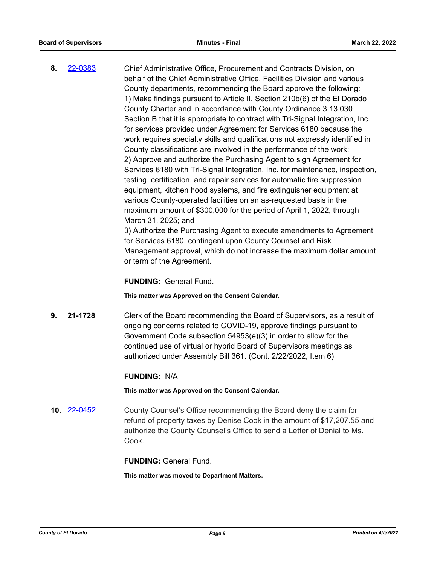**8.** [22-0383](http://eldorado.legistar.com/gateway.aspx?m=l&id=/matter.aspx?key=31284) Chief Administrative Office, Procurement and Contracts Division, on behalf of the Chief Administrative Office, Facilities Division and various County departments, recommending the Board approve the following: 1) Make findings pursuant to Article II, Section 210b(6) of the El Dorado County Charter and in accordance with County Ordinance 3.13.030 Section B that it is appropriate to contract with Tri-Signal Integration, Inc. for services provided under Agreement for Services 6180 because the work requires specialty skills and qualifications not expressly identified in County classifications are involved in the performance of the work; 2) Approve and authorize the Purchasing Agent to sign Agreement for Services 6180 with Tri-Signal Integration, Inc. for maintenance, inspection, testing, certification, and repair services for automatic fire suppression equipment, kitchen hood systems, and fire extinguisher equipment at various County-operated facilities on an as-requested basis in the maximum amount of \$300,000 for the period of April 1, 2022, through March 31, 2025; and 3) Authorize the Purchasing Agent to execute amendments to Agreement

for Services 6180, contingent upon County Counsel and Risk Management approval, which do not increase the maximum dollar amount or term of the Agreement.

**FUNDING:** General Fund.

**This matter was Approved on the Consent Calendar.**

**9. 21-1728** Clerk of the Board recommending the Board of Supervisors, as a result of ongoing concerns related to COVID-19, approve findings pursuant to Government Code subsection 54953(e)(3) in order to allow for the continued use of virtual or hybrid Board of Supervisors meetings as authorized under Assembly Bill 361. (Cont. 2/22/2022, Item 6)

#### **FUNDING:** N/A

**This matter was Approved on the Consent Calendar.**

**10.** [22-0452](http://eldorado.legistar.com/gateway.aspx?m=l&id=/matter.aspx?key=31353) County Counsel's Office recommending the Board deny the claim for refund of property taxes by Denise Cook in the amount of \$17,207.55 and authorize the County Counsel's Office to send a Letter of Denial to Ms. Cook.

**FUNDING:** General Fund.

**This matter was moved to Department Matters.**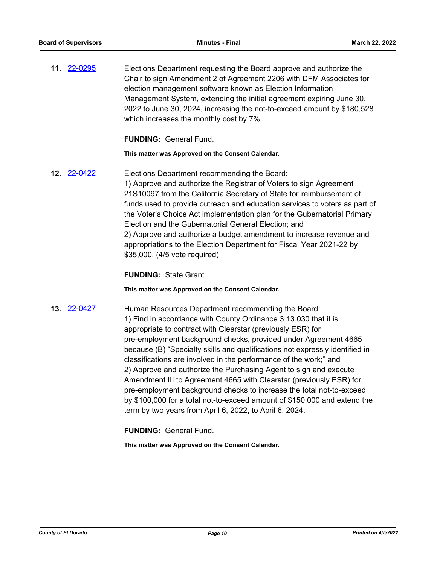**11.** [22-0295](http://eldorado.legistar.com/gateway.aspx?m=l&id=/matter.aspx?key=31196) Elections Department requesting the Board approve and authorize the Chair to sign Amendment 2 of Agreement 2206 with DFM Associates for election management software known as Election Information Management System, extending the initial agreement expiring June 30, 2022 to June 30, 2024, increasing the not-to-exceed amount by \$180,528 which increases the monthly cost by 7%.

**FUNDING:** General Fund.

**This matter was Approved on the Consent Calendar.**

**12.** [22-0422](http://eldorado.legistar.com/gateway.aspx?m=l&id=/matter.aspx?key=31323) Elections Department recommending the Board: 1) Approve and authorize the Registrar of Voters to sign Agreement 21S10097 from the California Secretary of State for reimbursement of funds used to provide outreach and education services to voters as part of the Voter's Choice Act implementation plan for the Gubernatorial Primary Election and the Gubernatorial General Election; and 2) Approve and authorize a budget amendment to increase revenue and appropriations to the Election Department for Fiscal Year 2021-22 by \$35,000. (4/5 vote required)

**FUNDING:** State Grant.

**This matter was Approved on the Consent Calendar.**

**13.** [22-0427](http://eldorado.legistar.com/gateway.aspx?m=l&id=/matter.aspx?key=31328) Human Resources Department recommending the Board: 1) Find in accordance with County Ordinance 3.13.030 that it is appropriate to contract with Clearstar (previously ESR) for pre-employment background checks, provided under Agreement 4665 because (B) "Specialty skills and qualifications not expressly identified in classifications are involved in the performance of the work;" and 2) Approve and authorize the Purchasing Agent to sign and execute Amendment III to Agreement 4665 with Clearstar (previously ESR) for pre-employment background checks to increase the total not-to-exceed by \$100,000 for a total not-to-exceed amount of \$150,000 and extend the term by two years from April 6, 2022, to April 6, 2024.

**FUNDING:** General Fund.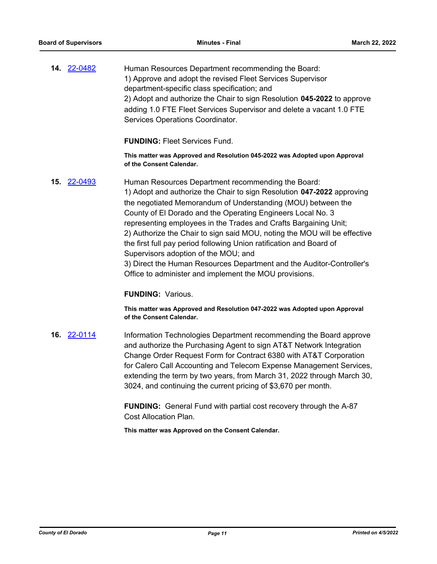**14.** [22-0482](http://eldorado.legistar.com/gateway.aspx?m=l&id=/matter.aspx?key=31383) Human Resources Department recommending the Board: 1) Approve and adopt the revised Fleet Services Supervisor department-specific class specification; and 2) Adopt and authorize the Chair to sign Resolution **045-2022** to approve adding 1.0 FTE Fleet Services Supervisor and delete a vacant 1.0 FTE Services Operations Coordinator.

**FUNDING:** Fleet Services Fund.

**This matter was Approved and Resolution 045-2022 was Adopted upon Approval of the Consent Calendar.**

**15.** [22-0493](http://eldorado.legistar.com/gateway.aspx?m=l&id=/matter.aspx?key=31394) Human Resources Department recommending the Board: 1) Adopt and authorize the Chair to sign Resolution **047-2022** approving the negotiated Memorandum of Understanding (MOU) between the County of El Dorado and the Operating Engineers Local No. 3 representing employees in the Trades and Crafts Bargaining Unit; 2) Authorize the Chair to sign said MOU, noting the MOU will be effective the first full pay period following Union ratification and Board of Supervisors adoption of the MOU; and 3) Direct the Human Resources Department and the Auditor-Controller's

Office to administer and implement the MOU provisions.

#### **FUNDING:** Various.

**This matter was Approved and Resolution 047-2022 was Adopted upon Approval of the Consent Calendar.**

**16.** [22-0114](http://eldorado.legistar.com/gateway.aspx?m=l&id=/matter.aspx?key=31015) Information Technologies Department recommending the Board approve and authorize the Purchasing Agent to sign AT&T Network Integration Change Order Request Form for Contract 6380 with AT&T Corporation for Calero Call Accounting and Telecom Expense Management Services, extending the term by two years, from March 31, 2022 through March 30, 3024, and continuing the current pricing of \$3,670 per month.

> **FUNDING:** General Fund with partial cost recovery through the A-87 Cost Allocation Plan.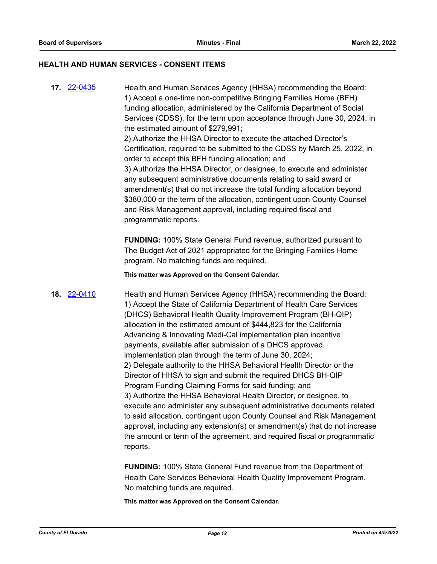#### **HEALTH AND HUMAN SERVICES - CONSENT ITEMS**

**17.** [22-0435](http://eldorado.legistar.com/gateway.aspx?m=l&id=/matter.aspx?key=31336) Health and Human Services Agency (HHSA) recommending the Board: 1) Accept a one-time non-competitive Bringing Families Home (BFH) funding allocation, administered by the California Department of Social Services (CDSS), for the term upon acceptance through June 30, 2024, in the estimated amount of \$279,991; 2) Authorize the HHSA Director to execute the attached Director's Certification, required to be submitted to the CDSS by March 25, 2022, in order to accept this BFH funding allocation; and 3) Authorize the HHSA Director, or designee, to execute and administer any subsequent administrative documents relating to said award or amendment(s) that do not increase the total funding allocation beyond \$380,000 or the term of the allocation, contingent upon County Counsel and Risk Management approval, including required fiscal and programmatic reports.

> **FUNDING:** 100% State General Fund revenue, authorized pursuant to The Budget Act of 2021 appropriated for the Bringing Families Home program. No matching funds are required.

**This matter was Approved on the Consent Calendar.**

**18.** [22-0410](http://eldorado.legistar.com/gateway.aspx?m=l&id=/matter.aspx?key=31311) Health and Human Services Agency (HHSA) recommending the Board: 1) Accept the State of California Department of Health Care Services (DHCS) Behavioral Health Quality Improvement Program (BH-QIP) allocation in the estimated amount of \$444,823 for the California Advancing & Innovating Medi-Cal implementation plan incentive payments, available after submission of a DHCS approved implementation plan through the term of June 30, 2024; 2) Delegate authority to the HHSA Behavioral Health Director or the Director of HHSA to sign and submit the required DHCS BH-QIP Program Funding Claiming Forms for said funding; and 3) Authorize the HHSA Behavioral Health Director, or designee, to execute and administer any subsequent administrative documents related to said allocation, contingent upon County Counsel and Risk Management approval, including any extension(s) or amendment(s) that do not increase the amount or term of the agreement, and required fiscal or programmatic reports.

> **FUNDING:** 100% State General Fund revenue from the Department of Health Care Services Behavioral Health Quality Improvement Program. No matching funds are required.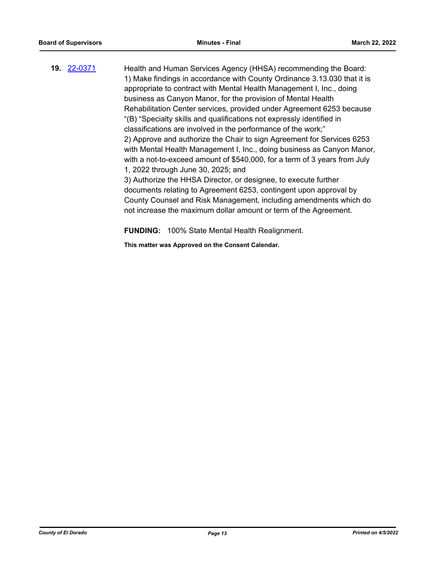**19.** [22-0371](http://eldorado.legistar.com/gateway.aspx?m=l&id=/matter.aspx?key=31272) Health and Human Services Agency (HHSA) recommending the Board: 1) Make findings in accordance with County Ordinance 3.13.030 that it is appropriate to contract with Mental Health Management I, Inc., doing business as Canyon Manor, for the provision of Mental Health Rehabilitation Center services, provided under Agreement 6253 because "(B) "Specialty skills and qualifications not expressly identified in classifications are involved in the performance of the work;" 2) Approve and authorize the Chair to sign Agreement for Services 6253 with Mental Health Management I, Inc., doing business as Canyon Manor, with a not-to-exceed amount of \$540,000, for a term of 3 years from July 1, 2022 through June 30, 2025; and 3) Authorize the HHSA Director, or designee, to execute further documents relating to Agreement 6253, contingent upon approval by County Counsel and Risk Management, including amendments which do not increase the maximum dollar amount or term of the Agreement.

**FUNDING:** 100% State Mental Health Realignment.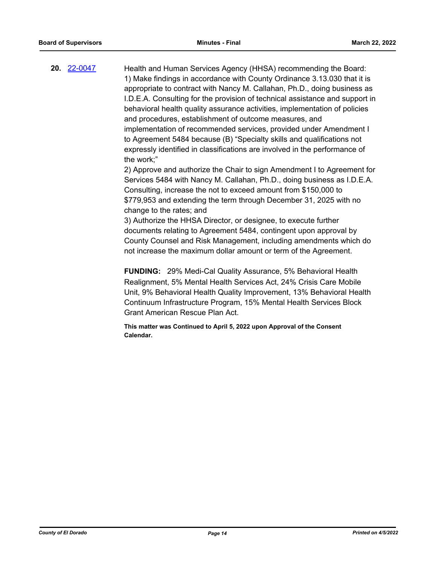**20.** [22-0047](http://eldorado.legistar.com/gateway.aspx?m=l&id=/matter.aspx?key=30947) Health and Human Services Agency (HHSA) recommending the Board: 1) Make findings in accordance with County Ordinance 3.13.030 that it is appropriate to contract with Nancy M. Callahan, Ph.D., doing business as I.D.E.A. Consulting for the provision of technical assistance and support in behavioral health quality assurance activities, implementation of policies and procedures, establishment of outcome measures, and implementation of recommended services, provided under Amendment I to Agreement 5484 because (B) "Specialty skills and qualifications not expressly identified in classifications are involved in the performance of the work;"

2) Approve and authorize the Chair to sign Amendment I to Agreement for Services 5484 with Nancy M. Callahan, Ph.D., doing business as I.D.E.A. Consulting, increase the not to exceed amount from \$150,000 to \$779,953 and extending the term through December 31, 2025 with no change to the rates; and

3) Authorize the HHSA Director, or designee, to execute further documents relating to Agreement 5484, contingent upon approval by County Counsel and Risk Management, including amendments which do not increase the maximum dollar amount or term of the Agreement.

**FUNDING:** 29% Medi-Cal Quality Assurance, 5% Behavioral Health Realignment, 5% Mental Health Services Act, 24% Crisis Care Mobile Unit, 9% Behavioral Health Quality Improvement, 13% Behavioral Health Continuum Infrastructure Program, 15% Mental Health Services Block Grant American Rescue Plan Act.

**This matter was Continued to April 5, 2022 upon Approval of the Consent Calendar.**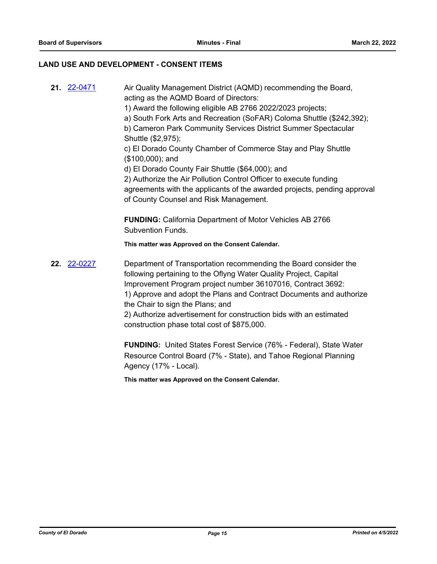#### **LAND USE AND DEVELOPMENT - CONSENT ITEMS**

- **21.** [22-0471](http://eldorado.legistar.com/gateway.aspx?m=l&id=/matter.aspx?key=31372) Air Quality Management District (AQMD) recommending the Board, acting as the AQMD Board of Directors:
	- 1) Award the following eligible AB 2766 2022/2023 projects;
	- a) South Fork Arts and Recreation (SoFAR) Coloma Shuttle (\$242,392);

b) Cameron Park Community Services District Summer Spectacular Shuttle (\$2,975);

c) El Dorado County Chamber of Commerce Stay and Play Shuttle (\$100,000); and

d) El Dorado County Fair Shuttle (\$64,000); and

2) Authorize the Air Pollution Control Officer to execute funding agreements with the applicants of the awarded projects, pending approval of County Counsel and Risk Management.

**FUNDING:** California Department of Motor Vehicles AB 2766 Subvention Funds.

**This matter was Approved on the Consent Calendar.**

**22.** [22-0227](http://eldorado.legistar.com/gateway.aspx?m=l&id=/matter.aspx?key=31128) Department of Transportation recommending the Board consider the following pertaining to the Oflyng Water Quality Project, Capital Improvement Program project number 36107016, Contract 3692: 1) Approve and adopt the Plans and Contract Documents and authorize the Chair to sign the Plans; and 2) Authorize advertisement for construction bids with an estimated

construction phase total cost of \$875,000.

**FUNDING:** United States Forest Service (76% - Federal), State Water Resource Control Board (7% - State), and Tahoe Regional Planning Agency (17% - Local).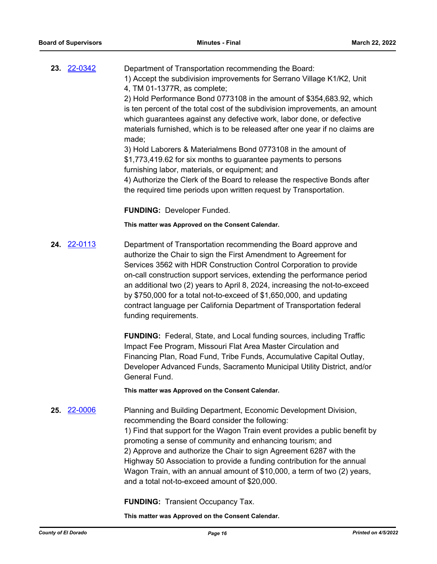| 23. 22-0342 | Department of Transportation recommending the Board:                                                                                                                                                                                                                                                       |
|-------------|------------------------------------------------------------------------------------------------------------------------------------------------------------------------------------------------------------------------------------------------------------------------------------------------------------|
|             | 1) Accept the subdivision improvements for Serrano Village K1/K2, Unit                                                                                                                                                                                                                                     |
|             | 4, TM 01-1377R, as complete;                                                                                                                                                                                                                                                                               |
|             | $\bigcap_{i=1}^{n}$ in $\bigcap_{i=1}^{n}$ in $\bigcap_{i=1}^{n}$ in $\bigcap_{i=1}^{n}$ in $\bigcap_{i=1}^{n}$ in $\bigcap_{i=1}^{n}$ in $\bigcap_{i=1}^{n}$ in $\bigcap_{i=1}^{n}$ in $\bigcap_{i=1}^{n}$ in $\bigcap_{i=1}^{n}$ in $\bigcap_{i=1}^{n}$ in $\bigcap_{i=1}^{n}$ in $\bigcap_{i=1}^{n}$ in |

2) Hold Performance Bond 0773108 in the amount of \$354,683.92, which is ten percent of the total cost of the subdivision improvements, an amount which guarantees against any defective work, labor done, or defective materials furnished, which is to be released after one year if no claims are made;

3) Hold Laborers & Materialmens Bond 0773108 in the amount of \$1,773,419.62 for six months to guarantee payments to persons furnishing labor, materials, or equipment; and

4) Authorize the Clerk of the Board to release the respective Bonds after the required time periods upon written request by Transportation.

**FUNDING:** Developer Funded.

#### **This matter was Approved on the Consent Calendar.**

**24.** [22-0113](http://eldorado.legistar.com/gateway.aspx?m=l&id=/matter.aspx?key=31014) Department of Transportation recommending the Board approve and authorize the Chair to sign the First Amendment to Agreement for Services 3562 with HDR Construction Control Corporation to provide on-call construction support services, extending the performance period an additional two (2) years to April 8, 2024, increasing the not-to-exceed by \$750,000 for a total not-to-exceed of \$1,650,000, and updating contract language per California Department of Transportation federal funding requirements.

> **FUNDING:** Federal, State, and Local funding sources, including Traffic Impact Fee Program, Missouri Flat Area Master Circulation and Financing Plan, Road Fund, Tribe Funds, Accumulative Capital Outlay, Developer Advanced Funds, Sacramento Municipal Utility District, and/or General Fund.

**This matter was Approved on the Consent Calendar.**

**25.** [22-0006](http://eldorado.legistar.com/gateway.aspx?m=l&id=/matter.aspx?key=30907) Planning and Building Department, Economic Development Division, recommending the Board consider the following: 1) Find that support for the Wagon Train event provides a public benefit by promoting a sense of community and enhancing tourism; and 2) Approve and authorize the Chair to sign Agreement 6287 with the Highway 50 Association to provide a funding contribution for the annual Wagon Train, with an annual amount of \$10,000, a term of two (2) years, and a total not-to-exceed amount of \$20,000.

**FUNDING:** Transient Occupancy Tax.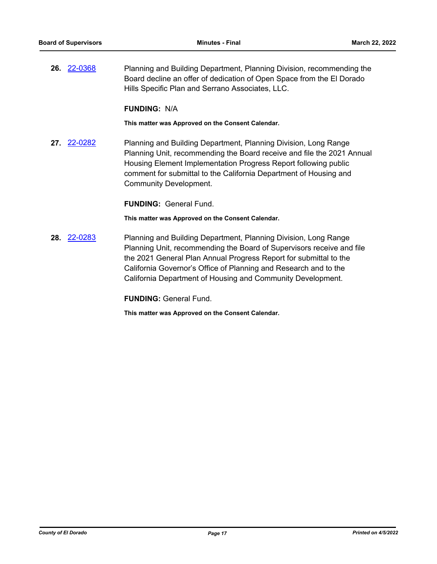**26.** [22-0368](http://eldorado.legistar.com/gateway.aspx?m=l&id=/matter.aspx?key=31269) Planning and Building Department, Planning Division, recommending the Board decline an offer of dedication of Open Space from the El Dorado Hills Specific Plan and Serrano Associates, LLC.

#### **FUNDING:** N/A

**This matter was Approved on the Consent Calendar.**

**27.** [22-0282](http://eldorado.legistar.com/gateway.aspx?m=l&id=/matter.aspx?key=31183) Planning and Building Department, Planning Division, Long Range Planning Unit, recommending the Board receive and file the 2021 Annual Housing Element Implementation Progress Report following public comment for submittal to the California Department of Housing and Community Development.

**FUNDING:** General Fund.

**This matter was Approved on the Consent Calendar.**

**28.** [22-0283](http://eldorado.legistar.com/gateway.aspx?m=l&id=/matter.aspx?key=31184) Planning and Building Department, Planning Division, Long Range Planning Unit, recommending the Board of Supervisors receive and file the 2021 General Plan Annual Progress Report for submittal to the California Governor's Office of Planning and Research and to the California Department of Housing and Community Development.

**FUNDING:** General Fund.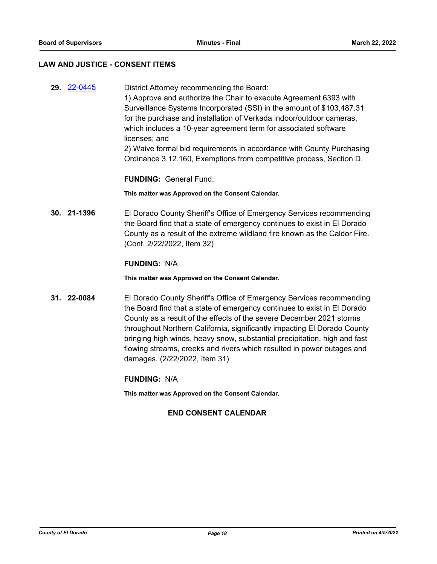#### **LAW AND JUSTICE - CONSENT ITEMS**

**29.** [22-0445](http://eldorado.legistar.com/gateway.aspx?m=l&id=/matter.aspx?key=31346) District Attorney recommending the Board: 1) Approve and authorize the Chair to execute Agreement 6393 with Surveillance Systems Incorporated (SSI) in the amount of \$103,487.31 for the purchase and installation of Verkada indoor/outdoor cameras, which includes a 10-year agreement term for associated software licenses; and 2) Waive formal bid requirements in accordance with County Purchasing Ordinance 3.12.160, Exemptions from competitive process, Section D.

**FUNDING:** General Fund.

**This matter was Approved on the Consent Calendar.**

**30. 21-1396** El Dorado County Sheriff's Office of Emergency Services recommending the Board find that a state of emergency continues to exist in El Dorado County as a result of the extreme wildland fire known as the Caldor Fire. (Cont. 2/22/2022, Item 32)

#### **FUNDING:** N/A

**This matter was Approved on the Consent Calendar.**

**31. 22-0084** El Dorado County Sheriff's Office of Emergency Services recommending the Board find that a state of emergency continues to exist in El Dorado County as a result of the effects of the severe December 2021 storms throughout Northern California, significantly impacting El Dorado County bringing high winds, heavy snow, substantial precipitation, high and fast flowing streams, creeks and rivers which resulted in power outages and damages. (2/22/2022, Item 31)

#### **FUNDING:** N/A

**This matter was Approved on the Consent Calendar.**

#### **END CONSENT CALENDAR**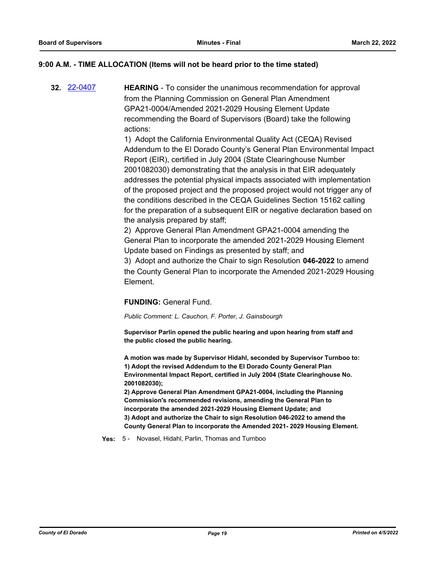#### **9:00 A.M. - TIME ALLOCATION (Items will not be heard prior to the time stated)**

**32.** [22-0407](http://eldorado.legistar.com/gateway.aspx?m=l&id=/matter.aspx?key=31308) **HEARING** - To consider the unanimous recommendation for approval from the Planning Commission on General Plan Amendment GPA21-0004/Amended 2021-2029 Housing Element Update recommending the Board of Supervisors (Board) take the following actions:

> 1) Adopt the California Environmental Quality Act (CEQA) Revised Addendum to the El Dorado County's General Plan Environmental Impact Report (EIR), certified in July 2004 (State Clearinghouse Number 2001082030) demonstrating that the analysis in that EIR adequately addresses the potential physical impacts associated with implementation of the proposed project and the proposed project would not trigger any of the conditions described in the CEQA Guidelines Section 15162 calling for the preparation of a subsequent EIR or negative declaration based on the analysis prepared by staff;

2) Approve General Plan Amendment GPA21-0004 amending the General Plan to incorporate the amended 2021-2029 Housing Element Update based on Findings as presented by staff; and

3) Adopt and authorize the Chair to sign Resolution **046-2022** to amend the County General Plan to incorporate the Amended 2021-2029 Housing Element.

#### **FUNDING:** General Fund.

*Public Comment: L. Cauchon, F. Porter, J. Gainsbourgh*

**Supervisor Parlin opened the public hearing and upon hearing from staff and the public closed the public hearing.**

**A motion was made by Supervisor Hidahl, seconded by Supervisor Turnboo to: 1) Adopt the revised Addendum to the El Dorado County General Plan Environmental Impact Report, certified in July 2004 (State Clearinghouse No. 2001082030);** 

**2) Approve General Plan Amendment GPA21-0004, including the Planning Commission's recommended revisions, amending the General Plan to incorporate the amended 2021-2029 Housing Element Update; and 3) Adopt and authorize the Chair to sign Resolution 046-2022 to amend the County General Plan to incorporate the Amended 2021- 2029 Housing Element.**

**Yes:** 5 - Novasel, Hidahl, Parlin, Thomas and Turnboo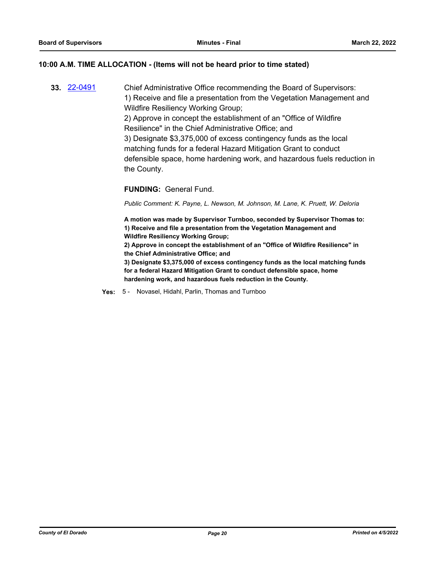#### **10:00 A.M. TIME ALLOCATION - (Items will not be heard prior to time stated)**

**33.** [22-0491](http://eldorado.legistar.com/gateway.aspx?m=l&id=/matter.aspx?key=31392) Chief Administrative Office recommending the Board of Supervisors: 1) Receive and file a presentation from the Vegetation Management and Wildfire Resiliency Working Group; 2) Approve in concept the establishment of an "Office of Wildfire Resilience" in the Chief Administrative Office; and 3) Designate \$3,375,000 of excess contingency funds as the local matching funds for a federal Hazard Mitigation Grant to conduct defensible space, home hardening work, and hazardous fuels reduction in the County.

#### **FUNDING:** General Fund.

*Public Comment: K. Payne, L. Newson, M. Johnson, M. Lane, K. Pruett, W. Deloria*

**A motion was made by Supervisor Turnboo, seconded by Supervisor Thomas to: 1) Receive and file a presentation from the Vegetation Management and Wildfire Resiliency Working Group;**

**2) Approve in concept the establishment of an "Office of Wildfire Resilience" in the Chief Administrative Office; and**

**3) Designate \$3,375,000 of excess contingency funds as the local matching funds for a federal Hazard Mitigation Grant to conduct defensible space, home hardening work, and hazardous fuels reduction in the County.**

**Yes:** 5 - Novasel, Hidahl, Parlin, Thomas and Turnboo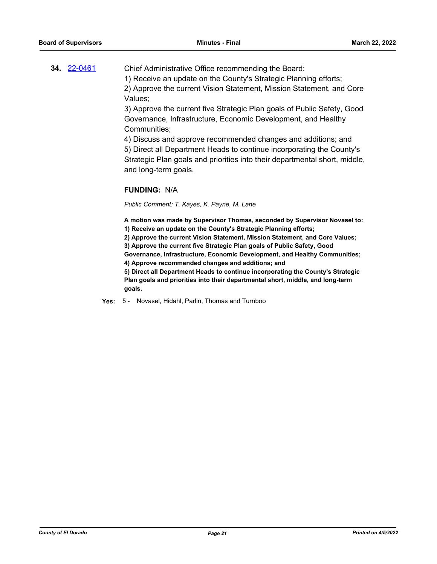## **34.** [22-0461](http://eldorado.legistar.com/gateway.aspx?m=l&id=/matter.aspx?key=31362) Chief Administrative Office recommending the Board: 1) Receive an update on the County's Strategic Planning efforts; 2) Approve the current Vision Statement, Mission Statement, and Core

3) Approve the current five Strategic Plan goals of Public Safety, Good Governance, Infrastructure, Economic Development, and Healthy Communities;

4) Discuss and approve recommended changes and additions; and

5) Direct all Department Heads to continue incorporating the County's Strategic Plan goals and priorities into their departmental short, middle, and long-term goals.

#### **FUNDING:** N/A

Values;

*Public Comment: T. Kayes, K. Payne, M. Lane*

**A motion was made by Supervisor Thomas, seconded by Supervisor Novasel to: 1) Receive an update on the County's Strategic Planning efforts;**

**2) Approve the current Vision Statement, Mission Statement, and Core Values;**

**3) Approve the current five Strategic Plan goals of Public Safety, Good** 

**Governance, Infrastructure, Economic Development, and Healthy Communities; 4) Approve recommended changes and additions; and**

**5) Direct all Department Heads to continue incorporating the County's Strategic Plan goals and priorities into their departmental short, middle, and long-term goals.**

**Yes:** 5 - Novasel, Hidahl, Parlin, Thomas and Turnboo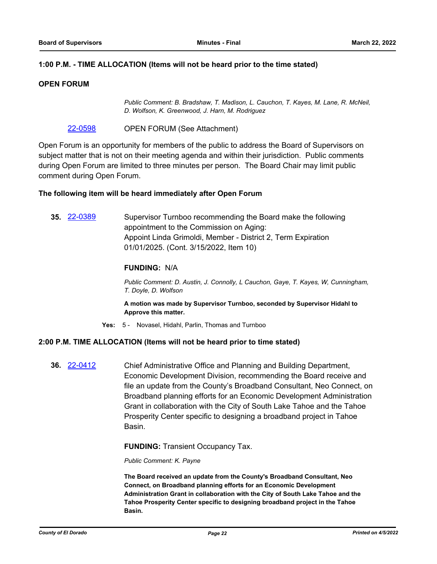#### **1:00 P.M. - TIME ALLOCATION (Items will not be heard prior to the time stated)**

#### **OPEN FORUM**

*Public Comment: B. Bradshaw, T. Madison, L. Cauchon, T. Kayes, M. Lane, R. McNeil, D. Wolfson, K. Greenwood, J. Harn, M. Rodriguez*

[22-0598](http://eldorado.legistar.com/gateway.aspx?m=l&id=/matter.aspx?key=31499) OPEN FORUM (See Attachment)

Open Forum is an opportunity for members of the public to address the Board of Supervisors on subject matter that is not on their meeting agenda and within their jurisdiction. Public comments during Open Forum are limited to three minutes per person. The Board Chair may limit public comment during Open Forum.

#### **The following item will be heard immediately after Open Forum**

**35.** [22-0389](http://eldorado.legistar.com/gateway.aspx?m=l&id=/matter.aspx?key=31290) Supervisor Turnboo recommending the Board make the following appointment to the Commission on Aging: Appoint Linda Grimoldi, Member - District 2, Term Expiration 01/01/2025. (Cont. 3/15/2022, Item 10)

#### **FUNDING:** N/A

*Public Comment: D. Austin, J. Connolly, L Cauchon, Gaye, T. Kayes, W, Cunningham, T. Doyle, D. Wolfson*

**A motion was made by Supervisor Turnboo, seconded by Supervisor Hidahl to Approve this matter.**

**Yes:** 5 - Novasel, Hidahl, Parlin, Thomas and Turnboo

#### **2:00 P.M. TIME ALLOCATION (Items will not be heard prior to time stated)**

**36.** [22-0412](http://eldorado.legistar.com/gateway.aspx?m=l&id=/matter.aspx?key=31313) Chief Administrative Office and Planning and Building Department, Economic Development Division, recommending the Board receive and file an update from the County's Broadband Consultant, Neo Connect, on Broadband planning efforts for an Economic Development Administration Grant in collaboration with the City of South Lake Tahoe and the Tahoe Prosperity Center specific to designing a broadband project in Tahoe Basin.

**FUNDING:** Transient Occupancy Tax.

*Public Comment: K. Payne*

**The Board received an update from the County's Broadband Consultant, Neo Connect, on Broadband planning efforts for an Economic Development Administration Grant in collaboration with the City of South Lake Tahoe and the Tahoe Prosperity Center specific to designing broadband project in the Tahoe Basin.**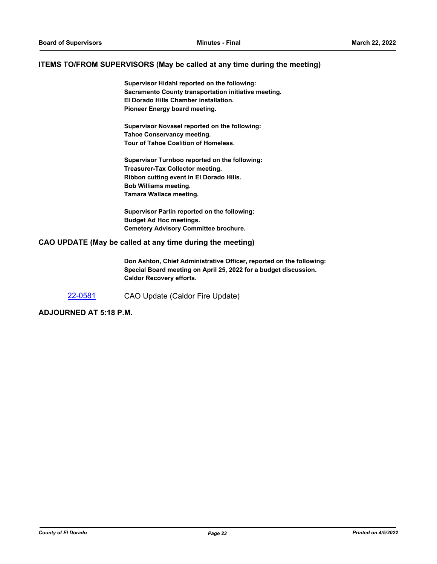#### **ITEMS TO/FROM SUPERVISORS (May be called at any time during the meeting)**

**Supervisor Hidahl reported on the following: Sacramento County transportation initiative meeting. El Dorado Hills Chamber installation. Pioneer Energy board meeting.**

**Supervisor Novasel reported on the following: Tahoe Conservancy meeting. Tour of Tahoe Coalition of Homeless.**

**Supervisor Turnboo reported on the following: Treasurer-Tax Collector meeting. Ribbon cutting event in El Dorado Hills. Bob Williams meeting. Tamara Wallace meeting.**

**Supervisor Parlin reported on the following: Budget Ad Hoc meetings. Cemetery Advisory Committee brochure.**

#### **CAO UPDATE (May be called at any time during the meeting)**

**Don Ashton, Chief Administrative Officer, reported on the following: Special Board meeting on April 25, 2022 for a budget discussion. Caldor Recovery efforts.**

[22-0581](http://eldorado.legistar.com/gateway.aspx?m=l&id=/matter.aspx?key=31482) CAO Update (Caldor Fire Update)

**ADJOURNED AT 5:18 P.M.**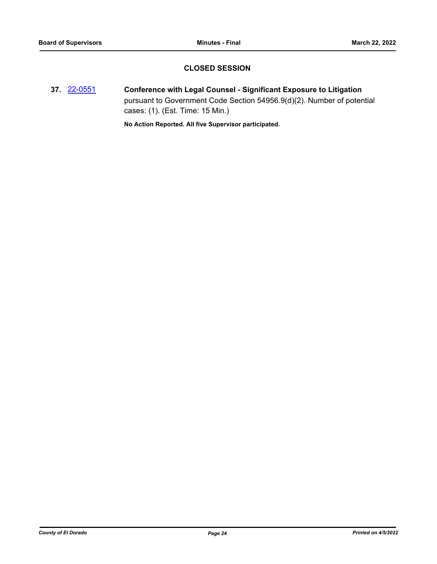### **CLOSED SESSION**

**37.** [22-0551](http://eldorado.legistar.com/gateway.aspx?m=l&id=/matter.aspx?key=31452) **Conference with Legal Counsel - Significant Exposure to Litigation** pursuant to Government Code Section 54956.9(d)(2). Number of potential cases: (1). (Est. Time: 15 Min.)

**No Action Reported. All five Supervisor participated.**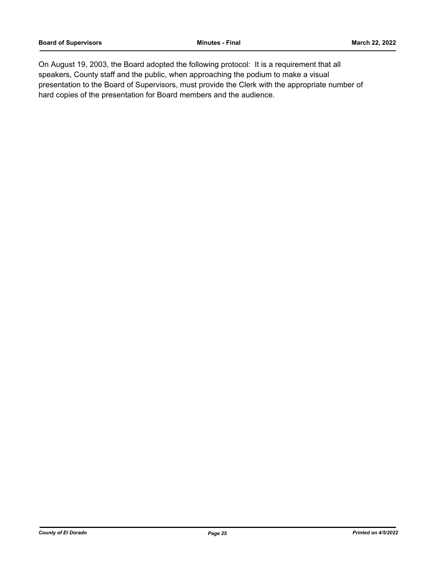On August 19, 2003, the Board adopted the following protocol: It is a requirement that all speakers, County staff and the public, when approaching the podium to make a visual presentation to the Board of Supervisors, must provide the Clerk with the appropriate number of hard copies of the presentation for Board members and the audience.